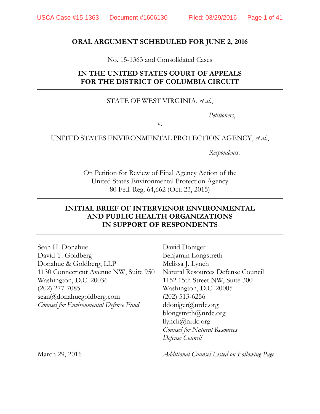### **ORAL ARGUMENT SCHEDULED FOR JUNE 2, 2016**

No. 15-1363 and Consolidated Cases

# **IN THE UNITED STATES COURT OF APPEALS FOR THE DISTRICT OF COLUMBIA CIRCUIT**

### STATE OF WEST VIRGINIA, *et al.*,

*Petitioners*,

v.

### UNITED STATES ENVIRONMENTAL PROTECTION AGENCY, *et al.*,

*Respondents*.

On Petition for Review of Final Agency Action of the United States Environmental Protection Agency 80 Fed. Reg. 64,662 (Oct. 23, 2015)

## **INITIAL BRIEF OF INTERVENOR ENVIRONMENTAL AND PUBLIC HEALTH ORGANIZATIONS IN SUPPORT OF RESPONDENTS**

Sean H. Donahue David T. Goldberg Donahue & Goldberg, LLP 1130 Connecticut Avenue NW, Suite 950 Washington, D.C. 20036 (202) 277-7085 sean@donahuegoldberg.com *Counsel for Environmental Defense Fund* 

David Doniger Benjamin Longstreth Melissa J. Lynch Natural Resources Defense Council 1152 15th Street NW, Suite 300 Washington, D.C. 20005 (202) 513-6256 ddoniger@nrdc.org blongstreth@nrdc.org llynch@nrdc.org *Counsel for Natural Resources Defense Council* 

March 29, 2016 *Additional Counsel Listed on Following Page*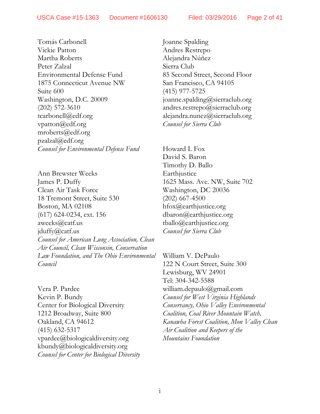Tomás Carbonell Vickie Patton Martha Roberts Peter Zalzal Environmental Defense Fund 1875 Connecticut Avenue NW Suite 600 Washington, D.C. 20009 (202) 572-3610 tcarbonell@edf.org vpatton@edf.org mroberts@edf.org  $pzalzal@edf.org$ *Counsel for Environmental Defense Fund* 

Ann Brewster Weeks James P. Duffy Clean Air Task Force 18 Tremont Street, Suite 530 Boston, MA 02108 (617) 624-0234, ext. 156 aweeks@catf.us jduffy@catf.us *Counsel for American Lung Association, Clean Air Council, Clean Wisconsin, Conservation Law Foundation, and The Ohio Environmental Council*

Vera P. Pardee Kevin P. Bundy Center for Biological Diversity 1212 Broadway, Suite 800 Oakland, CA 94612 (415) 632-5317 vpardee@biologicaldiversity.org kbundy@biologicaldiversity.org *Counsel for Center for Biological Diversity* Joanne Spalding Andres Restrepo Alejandra Núñez Sierra Club 85 Second Street, Second Floor San Francisco, CA 94105 (415) 977-5725 joanne.spalding@sierraclub.org andres.restrepo@sierraclub.org alejandra.nunez@sierraclub.org *Counsel for Sierra Club* 

Howard I. Fox David S. Baron Timothy D. Ballo **Earthjustice** 1625 Mass. Ave. NW, Suite 702 Washington, DC 20036 (202) 667-4500 hfox@earthjustice.org dbaron@earthjustice.org tballo@earthjustice.org *Counsel for Sierra Club* 

William V. DePaulo 122 N Court Street, Suite 300 Lewisburg, WV 24901 Tel: 304-342-5588 william.depaulo@gmail.com *Counsel for West Virginia Highlands Conservancy, Ohio Valley Environmental Coalition, Coal River Mountain Watch, Kanawha Forest Coalition, Mon Valley Clean Air Coalition and Keepers of the Mountains Foundation*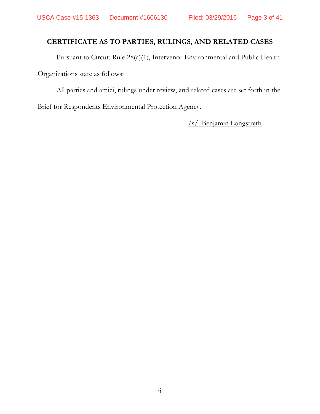# **CERTIFICATE AS TO PARTIES, RULINGS, AND RELATED CASES**

 Pursuant to Circuit Rule 28(a)(1), Intervenor Environmental and Public Health Organizations state as follows:

 All parties and amici, rulings under review, and related cases are set forth in the Brief for Respondents Environmental Protection Agency.

/s/ Benjamin Longstreth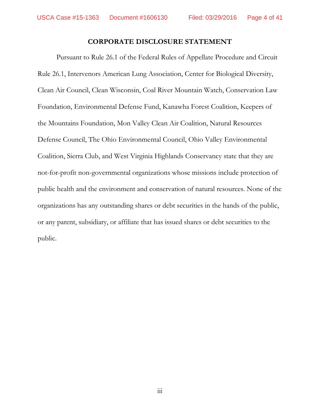#### **CORPORATE DISCLOSURE STATEMENT**

 Pursuant to Rule 26.1 of the Federal Rules of Appellate Procedure and Circuit Rule 26.1, Intervenors American Lung Association, Center for Biological Diversity, Clean Air Council, Clean Wisconsin, Coal River Mountain Watch, Conservation Law Foundation, Environmental Defense Fund, Kanawha Forest Coalition, Keepers of the Mountains Foundation, Mon Valley Clean Air Coalition, Natural Resources Defense Council, The Ohio Environmental Council, Ohio Valley Environmental Coalition, Sierra Club, and West Virginia Highlands Conservancy state that they are not-for-profit non-governmental organizations whose missions include protection of public health and the environment and conservation of natural resources. None of the organizations has any outstanding shares or debt securities in the hands of the public, or any parent, subsidiary, or affiliate that has issued shares or debt securities to the public.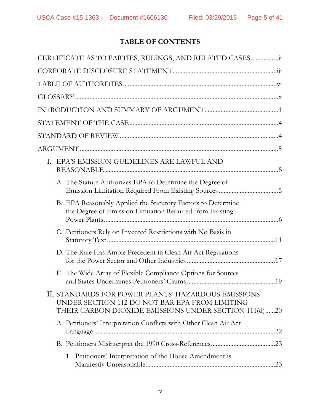# **TABLE OF CONTENTS**

| CERTIFICATE AS TO PARTIES, RULINGS, AND RELATED CASES                                                                                                          |  |
|----------------------------------------------------------------------------------------------------------------------------------------------------------------|--|
|                                                                                                                                                                |  |
|                                                                                                                                                                |  |
|                                                                                                                                                                |  |
|                                                                                                                                                                |  |
|                                                                                                                                                                |  |
|                                                                                                                                                                |  |
|                                                                                                                                                                |  |
| I. EPA'S EMISSION GUIDELINES ARE LAWFUL AND                                                                                                                    |  |
| A. The Statute Authorizes EPA to Determine the Degree of                                                                                                       |  |
| B. EPA Reasonably Applied the Statutory Factors to Determine<br>the Degree of Emission Limitation Required from Existing                                       |  |
| C. Petitioners Rely on Invented Restrictions with No Basis in                                                                                                  |  |
| D. The Rule Has Ample Precedent in Clean Air Act Regulations                                                                                                   |  |
| E. The Wide Array of Flexible Compliance Options for Sources                                                                                                   |  |
| II. STANDARDS FOR POWER PLANTS' HAZARDOUS EMISSIONS<br>UNDER SECTION 112 DO NOT BAR EPA FROM LIMITING<br>THEIR CARBON DIOXIDE EMISSIONS UNDER SECTION 111(d)20 |  |
| A. Petitioners' Interpretation Conflicts with Other Clean Air Act                                                                                              |  |
|                                                                                                                                                                |  |
| 1. Petitioners' Interpretation of the House Amendment is                                                                                                       |  |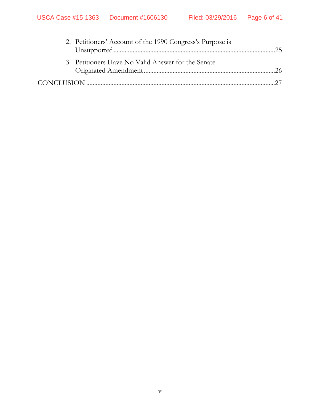| 2. Petitioners' Account of the 1990 Congress's Purpose is |  |
|-----------------------------------------------------------|--|
| 3. Petitioners Have No Valid Answer for the Senate-       |  |
|                                                           |  |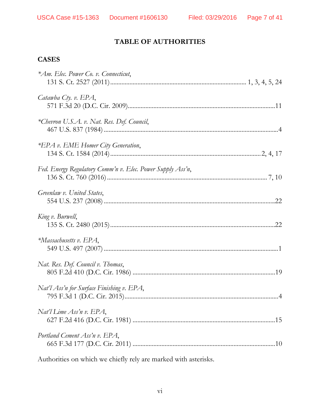# **TABLE OF AUTHORITIES**

# **CASES**

Authorities on which we chiefly rely are marked with asterisks.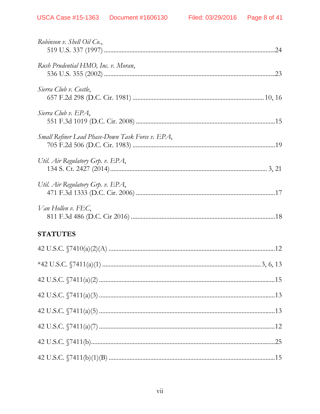| 42 U.S.C. $\sqrt{7411(a)(2) \dots 15}$ |
|----------------------------------------|
|                                        |
|                                        |
|                                        |
|                                        |
|                                        |
|                                        |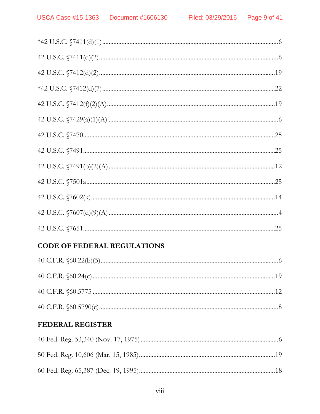# **CODE OF FEDERAL REGULATIONS**

# FEDERAL REGISTER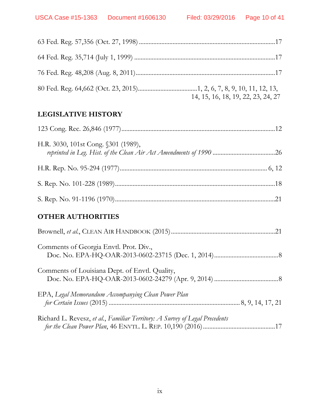| 14, 15, 16, 18, 19, 22, 23, 24, 27 |
|------------------------------------|

# **LEGISLATIVE HISTORY**

| H.R. 3030, 101st Cong. §301 (1989),                                         |
|-----------------------------------------------------------------------------|
|                                                                             |
|                                                                             |
|                                                                             |
| <b>OTHER AUTHORITIES</b>                                                    |
|                                                                             |
| Comments of Georgia Envtl. Prot. Div.,                                      |
| Comments of Louisiana Dept. of Envtl. Quality,                              |
| EPA, Legal Memorandum Accompanying Clean Power Plan                         |
| Richard L. Revesz, et al., Familiar Territory: A Survey of Legal Precedents |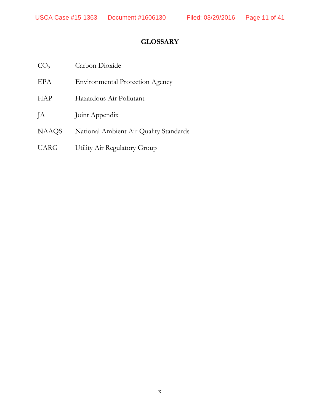# **GLOSSARY**

| CO <sub>2</sub> | Carbon Dioxide                         |
|-----------------|----------------------------------------|
| <b>EPA</b>      | <b>Environmental Protection Agency</b> |
| <b>HAP</b>      | Hazardous Air Pollutant                |
| JA              | Joint Appendix                         |
| <b>NAAQS</b>    | National Ambient Air Quality Standards |
| <b>UARG</b>     | Utility Air Regulatory Group           |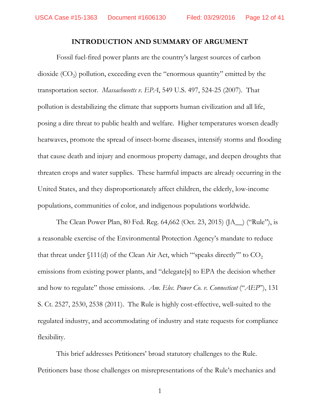#### **INTRODUCTION AND SUMMARY OF ARGUMENT**

Fossil fuel-fired power plants are the country's largest sources of carbon dioxide  $(CO<sub>2</sub>)$  pollution, exceeding even the "enormous quantity" emitted by the transportation sector. *Massachusetts v. EPA*, 549 U.S. 497, 524-25 (2007). That pollution is destabilizing the climate that supports human civilization and all life, posing a dire threat to public health and welfare. Higher temperatures worsen deadly heatwaves, promote the spread of insect-borne diseases, intensify storms and flooding that cause death and injury and enormous property damage, and deepen droughts that threaten crops and water supplies. These harmful impacts are already occurring in the United States, and they disproportionately affect children, the elderly, low-income populations, communities of color, and indigenous populations worldwide.

The Clean Power Plan, 80 Fed. Reg. 64,662 (Oct. 23, 2015) (JA\_\_) ("Rule"), is a reasonable exercise of the Environmental Protection Agency's mandate to reduce that threat under  $$111(d)$  of the Clean Air Act, which "speaks directly" to  $CO<sub>2</sub>$ emissions from existing power plants, and "delegate[s] to EPA the decision whether and how to regulate" those emissions. *Am. Elec. Power Co. v. Connecticut* ("*AEP*"), 131 S. Ct. 2527, 2530, 2538 (2011). The Rule is highly cost-effective, well-suited to the regulated industry, and accommodating of industry and state requests for compliance flexibility.

This brief addresses Petitioners' broad statutory challenges to the Rule. Petitioners base those challenges on misrepresentations of the Rule's mechanics and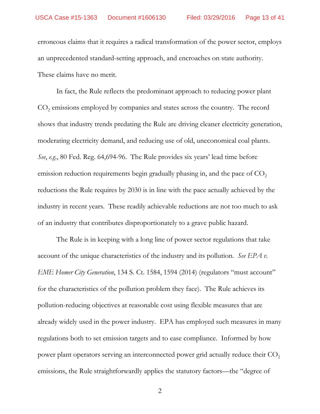erroneous claims that it requires a radical transformation of the power sector, employs an unprecedented standard-setting approach, and encroaches on state authority. These claims have no merit.

In fact, the Rule reflects the predominant approach to reducing power plant  $CO<sub>2</sub>$  emissions employed by companies and states across the country. The record shows that industry trends predating the Rule are driving cleaner electricity generation, moderating electricity demand, and reducing use of old, uneconomical coal plants. *See*, *e.g*., 80 Fed. Reg. 64,694-96. The Rule provides six years' lead time before emission reduction requirements begin gradually phasing in, and the pace of  $CO<sub>2</sub>$ reductions the Rule requires by 2030 is in line with the pace actually achieved by the industry in recent years. These readily achievable reductions are not too much to ask of an industry that contributes disproportionately to a grave public hazard.

The Rule is in keeping with a long line of power sector regulations that take account of the unique characteristics of the industry and its pollution. *See EPA v. EME Homer City Generation*, 134 S. Ct. 1584, 1594 (2014) (regulators "must account" for the characteristics of the pollution problem they face). The Rule achieves its pollution-reducing objectives at reasonable cost using flexible measures that are already widely used in the power industry. EPA has employed such measures in many regulations both to set emission targets and to ease compliance. Informed by how power plant operators serving an interconnected power grid actually reduce their  $CO<sub>2</sub>$ emissions, the Rule straightforwardly applies the statutory factors—the "degree of

2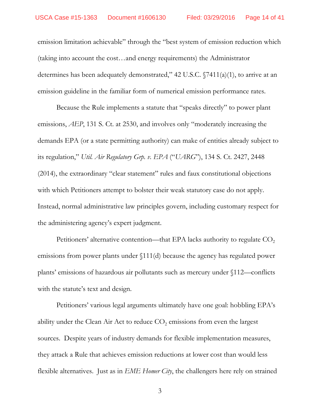emission limitation achievable" through the "best system of emission reduction which (taking into account the cost…and energy requirements) the Administrator determines has been adequately demonstrated," 42 U.S.C. §7411(a)(1), to arrive at an emission guideline in the familiar form of numerical emission performance rates.

Because the Rule implements a statute that "speaks directly" to power plant emissions, *AEP*, 131 S. Ct. at 2530, and involves only "moderately increasing the demands EPA (or a state permitting authority) can make of entities already subject to its regulation," *Util. Air Regulatory Grp. v. EPA* ("*UARG*"), 134 S. Ct. 2427, 2448 (2014), the extraordinary "clear statement" rules and faux constitutional objections with which Petitioners attempt to bolster their weak statutory case do not apply. Instead, normal administrative law principles govern, including customary respect for the administering agency's expert judgment.

Petitioners' alternative contention—that EPA lacks authority to regulate  $CO<sub>2</sub>$ emissions from power plants under §111(d) because the agency has regulated power plants' emissions of hazardous air pollutants such as mercury under §112—conflicts with the statute's text and design.

Petitioners' various legal arguments ultimately have one goal: hobbling EPA's ability under the Clean Air Act to reduce  $CO<sub>2</sub>$  emissions from even the largest sources. Despite years of industry demands for flexible implementation measures, they attack a Rule that achieves emission reductions at lower cost than would less flexible alternatives. Just as in *EME Homer City*, the challengers here rely on strained

3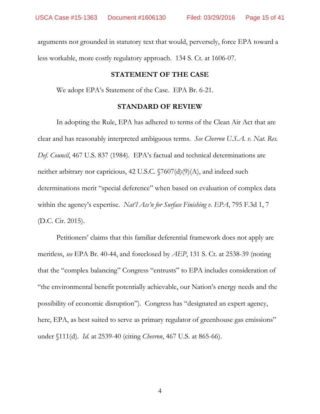arguments not grounded in statutory text that would, perversely, force EPA toward a less workable, more costly regulatory approach. 134 S. Ct. at 1606-07.

#### **STATEMENT OF THE CASE**

We adopt EPA's Statement of the Case. EPA Br. 6-21.

#### **STANDARD OF REVIEW**

 In adopting the Rule, EPA has adhered to terms of the Clean Air Act that are clear and has reasonably interpreted ambiguous terms. *See Chevron U.S.A. v. Nat. Res. Def. Council*, 467 U.S. 837 (1984). EPA's factual and technical determinations are neither arbitrary nor capricious, 42 U.S.C. §7607(d)(9)(A), and indeed such determinations merit "special deference" when based on evaluation of complex data within the agency's expertise. *Nat'l Ass'n for Surface Finishing v. EPA*, 795 F.3d 1, 7 (D.C. Cir. 2015).

 Petitioners' claims that this familiar deferential framework does not apply are meritless, *see* EPA Br. 40-44, and foreclosed by *AEP*, 131 S. Ct. at 2538-39 (noting that the "complex balancing" Congress "entrusts" to EPA includes consideration of "the environmental benefit potentially achievable, our Nation's energy needs and the possibility of economic disruption"). Congress has "designated an expert agency, here, EPA, as best suited to serve as primary regulator of greenhouse gas emissions" under §111(d). *Id.* at 2539-40 (citing *Chevron*, 467 U.S. at 865-66).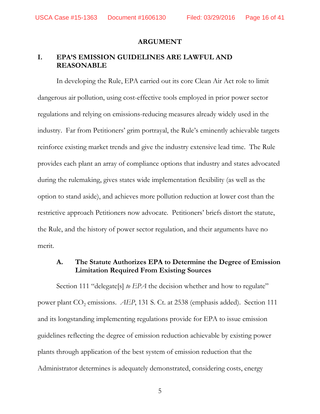USCA Case #15-1363 Document #1606130 Filed: 03/29/2016 Page 16 of 41

#### **ARGUMENT**

### **I. EPA'S EMISSION GUIDELINES ARE LAWFUL AND REASONABLE**

In developing the Rule, EPA carried out its core Clean Air Act role to limit dangerous air pollution, using cost-effective tools employed in prior power sector regulations and relying on emissions-reducing measures already widely used in the industry. Far from Petitioners' grim portrayal, the Rule's eminently achievable targets reinforce existing market trends and give the industry extensive lead time. The Rule provides each plant an array of compliance options that industry and states advocated during the rulemaking, gives states wide implementation flexibility (as well as the option to stand aside), and achieves more pollution reduction at lower cost than the restrictive approach Petitioners now advocate. Petitioners' briefs distort the statute, the Rule, and the history of power sector regulation, and their arguments have no merit.

## **A. The Statute Authorizes EPA to Determine the Degree of Emission Limitation Required From Existing Sources**

Section 111 "delegate[s] *to EPA* the decision whether and how to regulate" power plant CO<sub>2</sub> emissions. *AEP*, 131 S. Ct. at 2538 (emphasis added). Section 111 and its longstanding implementing regulations provide for EPA to issue emission guidelines reflecting the degree of emission reduction achievable by existing power plants through application of the best system of emission reduction that the Administrator determines is adequately demonstrated, considering costs, energy

5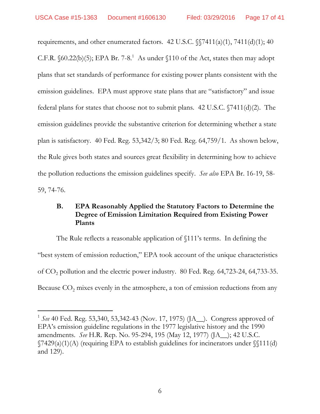-

requirements, and other enumerated factors. 42 U.S.C. §§7411(a)(1), 7411(d)(1); 40 C.F.R.  $\delta$ 60.22(b)(5); EPA Br. 7-8.<sup>1</sup> As under  $\delta$ 110 of the Act, states then may adopt plans that set standards of performance for existing power plants consistent with the emission guidelines. EPA must approve state plans that are "satisfactory" and issue federal plans for states that choose not to submit plans. 42 U.S.C. §7411(d)(2). The emission guidelines provide the substantive criterion for determining whether a state plan is satisfactory. 40 Fed. Reg. 53,342/3; 80 Fed. Reg. 64,759/1. As shown below, the Rule gives both states and sources great flexibility in determining how to achieve the pollution reductions the emission guidelines specify. *See also* EPA Br. 16-19, 58- 59, 74-76.

# **B. EPA Reasonably Applied the Statutory Factors to Determine the Degree of Emission Limitation Required from Existing Power Plants**

The Rule reflects a reasonable application of §111's terms. In defining the "best system of emission reduction," EPA took account of the unique characteristics of CO2 pollution and the electric power industry. 80 Fed. Reg. 64,723-24, 64,733-35. Because  $CO<sub>2</sub>$  mixes evenly in the atmosphere, a ton of emission reductions from any

<sup>1</sup> *See* 40 Fed. Reg. 53,340, 53,342-43 (Nov. 17, 1975) (JA\_\_). Congress approved of EPA's emission guideline regulations in the 1977 legislative history and the 1990 amendments. *See* H.R. Rep. No. 95-294, 195 (May 12, 1977) (JA\_\_); 42 U.S.C.  $\sqrt{7429(a)(1)(A)}$  (requiring EPA to establish guidelines for incinerators under  $\sqrt{111(d)}$ and 129).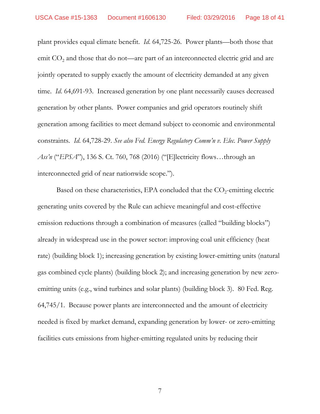plant provides equal climate benefit. *Id*. 64,725-26. Power plants—both those that emit  $CO<sub>2</sub>$  and those that do not—are part of an interconnected electric grid and are jointly operated to supply exactly the amount of electricity demanded at any given time. *Id*. 64,691-93. Increased generation by one plant necessarily causes decreased generation by other plants. Power companies and grid operators routinely shift generation among facilities to meet demand subject to economic and environmental constraints. *Id*. 64,728-29. *See also Fed. Energy Regulatory Comm'n v. Elec. Power Supply Ass'n* ("*EPSA*"), 136 S. Ct. 760, 768 (2016) ("[E]lectricity flows…through an interconnected grid of near nationwide scope.").

Based on these characteristics, EPA concluded that the  $CO_2$ -emitting electric generating units covered by the Rule can achieve meaningful and cost-effective emission reductions through a combination of measures (called "building blocks") already in widespread use in the power sector: improving coal unit efficiency (heat rate) (building block 1); increasing generation by existing lower-emitting units (natural gas combined cycle plants) (building block 2); and increasing generation by new zeroemitting units (e.g., wind turbines and solar plants) (building block 3). 80 Fed. Reg. 64,745/1. Because power plants are interconnected and the amount of electricity needed is fixed by market demand, expanding generation by lower- or zero-emitting facilities cuts emissions from higher-emitting regulated units by reducing their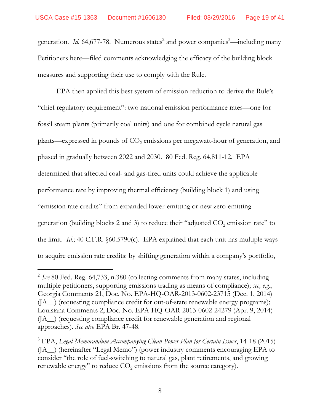generation. *Id.* 64,677-78. Numerous states<sup>2</sup> and power companies<sup>3</sup>—including many Petitioners here—filed comments acknowledging the efficacy of the building block measures and supporting their use to comply with the Rule.

EPA then applied this best system of emission reduction to derive the Rule's "chief regulatory requirement": two national emission performance rates—one for fossil steam plants (primarily coal units) and one for combined cycle natural gas plants—expressed in pounds of  $CO<sub>2</sub>$  emissions per megawatt-hour of generation, and phased in gradually between 2022 and 2030. 80 Fed. Reg. 64,811-12. EPA determined that affected coal- and gas-fired units could achieve the applicable performance rate by improving thermal efficiency (building block 1) and using "emission rate credits" from expanded lower-emitting or new zero-emitting generation (building blocks 2 and 3) to reduce their "adjusted  $CO<sub>2</sub>$  emission rate" to the limit. *Id.*; 40 C.F.R. §60.5790(c). EPA explained that each unit has multiple ways to acquire emission rate credits: by shifting generation within a company's portfolio,

-

<sup>2</sup> *See* 80 Fed. Reg. 64,733, n.380 (collecting comments from many states, including multiple petitioners, supporting emissions trading as means of compliance); *see, e.g.*, Georgia Comments 21, Doc. No. EPA-HQ-OAR-2013-0602-23715 (Dec. 1, 2014) (JA\_\_) (requesting compliance credit for out-of-state renewable energy programs); Louisiana Comments 2, Doc. No. EPA-HQ-OAR-2013-0602-24279 (Apr. 9, 2014) (JA\_\_) (requesting compliance credit for renewable generation and regional approaches). *See also* EPA Br. 47-48.

<sup>3</sup> EPA, *Legal Memorandum Accompanying Clean Power Plan for Certain Issues*, 14-18 (2015) (JA\_\_) (hereinafter "Legal Memo") (power industry comments encouraging EPA to consider "the role of fuel-switching to natural gas, plant retirements, and growing renewable energy" to reduce  $CO<sub>2</sub>$  emissions from the source category).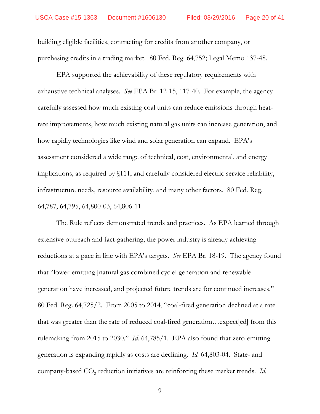building eligible facilities, contracting for credits from another company, or purchasing credits in a trading market. 80 Fed. Reg. 64,752; Legal Memo 137-48.

EPA supported the achievability of these regulatory requirements with exhaustive technical analyses. *See* EPA Br. 12-15, 117-40. For example, the agency carefully assessed how much existing coal units can reduce emissions through heatrate improvements, how much existing natural gas units can increase generation, and how rapidly technologies like wind and solar generation can expand. EPA's assessment considered a wide range of technical, cost, environmental, and energy implications, as required by §111, and carefully considered electric service reliability, infrastructure needs, resource availability, and many other factors. 80 Fed. Reg. 64,787, 64,795, 64,800-03, 64,806-11.

The Rule reflects demonstrated trends and practices. As EPA learned through extensive outreach and fact-gathering, the power industry is already achieving reductions at a pace in line with EPA's targets. *See* EPA Br. 18-19. The agency found that "lower-emitting [natural gas combined cycle] generation and renewable generation have increased, and projected future trends are for continued increases." 80 Fed. Reg. 64,725/2. From 2005 to 2014, "coal-fired generation declined at a rate that was greater than the rate of reduced coal-fired generation…expect[ed] from this rulemaking from 2015 to 2030." *Id.* 64,785/1. EPA also found that zero-emitting generation is expanding rapidly as costs are declining. *Id.* 64,803-04. State- and company-based CO<sub>2</sub> reduction initiatives are reinforcing these market trends. *Id.* 

9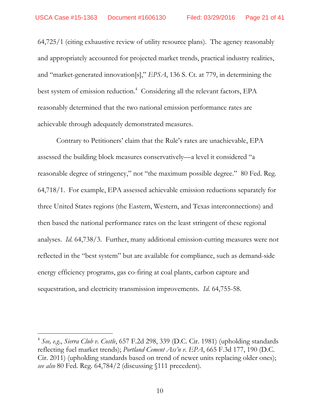64,725/1 (citing exhaustive review of utility resource plans). The agency reasonably and appropriately accounted for projected market trends, practical industry realities, and "market-generated innovation[s]," *EPSA*, 136 S. Ct. at 779, in determining the best system of emission reduction.<sup>4</sup> Considering all the relevant factors, EPA reasonably determined that the two national emission performance rates are achievable through adequately demonstrated measures.

Contrary to Petitioners' claim that the Rule's rates are unachievable, EPA assessed the building block measures conservatively—a level it considered "a reasonable degree of stringency," not "the maximum possible degree." 80 Fed. Reg. 64,718/1. For example, EPA assessed achievable emission reductions separately for three United States regions (the Eastern, Western, and Texas interconnections) and then based the national performance rates on the least stringent of these regional analyses. *Id*. 64,738/3. Further, many additional emission-cutting measures were not reflected in the "best system" but are available for compliance, such as demand-side energy efficiency programs, gas co-firing at coal plants, carbon capture and sequestration, and electricity transmission improvements. *Id*. 64,755-58.

-

<sup>4</sup> *See, e.g*., *Sierra Club v. Costle*, 657 F.2d 298, 339 (D.C. Cir. 1981) (upholding standards reflecting fuel market trends); *Portland Cement Ass'n v. EPA*, 665 F.3d 177, 190 (D.C. Cir. 2011) (upholding standards based on trend of newer units replacing older ones); *see also* 80 Fed. Reg. 64,784/2 (discussing §111 precedent).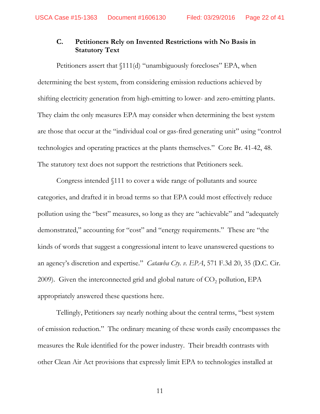# **C. Petitioners Rely on Invented Restrictions with No Basis in Statutory Text**

Petitioners assert that  $\int 111(d)$  "unambiguously forecloses" EPA, when determining the best system, from considering emission reductions achieved by shifting electricity generation from high-emitting to lower- and zero-emitting plants. They claim the only measures EPA may consider when determining the best system are those that occur at the "individual coal or gas-fired generating unit" using "control technologies and operating practices at the plants themselves." Core Br. 41-42, 48. The statutory text does not support the restrictions that Petitioners seek.

Congress intended §111 to cover a wide range of pollutants and source categories, and drafted it in broad terms so that EPA could most effectively reduce pollution using the "best" measures, so long as they are "achievable" and "adequately demonstrated," accounting for "cost" and "energy requirements." These are "the kinds of words that suggest a congressional intent to leave unanswered questions to an agency's discretion and expertise." *Catawba Cty. v. EPA*, 571 F.3d 20, 35 (D.C. Cir. 2009). Given the interconnected grid and global nature of  $CO<sub>2</sub>$  pollution, EPA appropriately answered these questions here.

Tellingly, Petitioners say nearly nothing about the central terms, "best system of emission reduction." The ordinary meaning of these words easily encompasses the measures the Rule identified for the power industry. Their breadth contrasts with other Clean Air Act provisions that expressly limit EPA to technologies installed at

11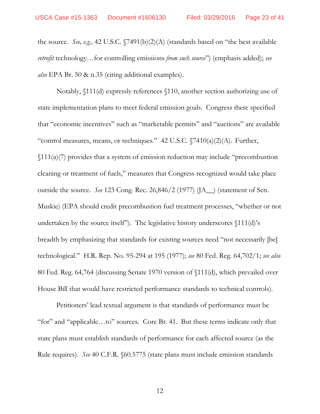the source. *See, e.g.,* 42 U.S.C. §7491(b)(2)(A) (standards based on "the best available *retrofit* technology…for controlling emissions *from such source*") (emphasis added); *see also* EPA Br. 50 & n.35 (citing additional examples).

Notably, §111(d) expressly references §110, another section authorizing use of state implementation plans to meet federal emission goals. Congress there specified that "economic incentives" such as "marketable permits" and "auctions" are available "control measures, means, or techniques."  $42 \text{ U.S.C. } \sqrt{7410(a)(2)(\text{A})}$ . Further, §111(a)(7) provides that a system of emission reduction may include "precombustion cleaning or treatment of fuels," measures that Congress recognized would take place outside the source. *See* 123 Cong. Rec. 26,846/2 (1977) (JA\_\_) (statement of Sen. Muskie) (EPA should credit precombustion fuel treatment processes, "whether or not undertaken by the source itself"). The legislative history underscores §111(d)'s breadth by emphasizing that standards for existing sources need "not necessarily [be] technological." H.R. Rep. No. 95-294 at 195 (1977); *see* 80 Fed. Reg. 64,702/1; *see also* 80 Fed. Reg. 64,764 (discussing Senate 1970 version of §111(d), which prevailed over House Bill that would have restricted performance standards to technical controls).

Petitioners' lead textual argument is that standards of performance must be "for" and "applicable…to" sources. Core Br. 41. But these terms indicate only that state plans must establish standards of performance for each affected source (as the Rule requires). *See* 40 C.F.R. §60.5775 (state plans must include emission standards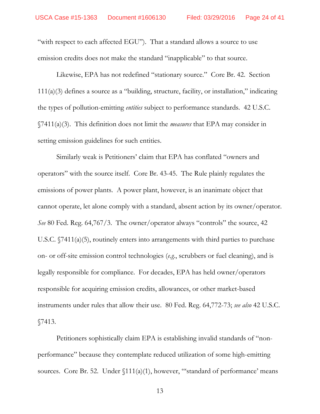"with respect to each affected EGU"). That a standard allows a source to use emission credits does not make the standard "inapplicable" to that source.

Likewise, EPA has not redefined "stationary source." Core Br. 42. Section 111(a)(3) defines a source as a "building, structure, facility, or installation," indicating the types of pollution-emitting *entities* subject to performance standards. 42 U.S.C. §7411(a)(3). This definition does not limit the *measures* that EPA may consider in setting emission guidelines for such entities.

Similarly weak is Petitioners' claim that EPA has conflated "owners and operators" with the source itself. Core Br. 43-45. The Rule plainly regulates the emissions of power plants. A power plant, however, is an inanimate object that cannot operate, let alone comply with a standard, absent action by its owner/operator. *See* 80 Fed. Reg. 64,767/3. The owner/operator always "controls" the source, 42 U.S.C. §7411(a)(5), routinely enters into arrangements with third parties to purchase on- or off-site emission control technologies (*e.g.*, scrubbers or fuel cleaning), and is legally responsible for compliance. For decades, EPA has held owner/operators responsible for acquiring emission credits, allowances, or other market-based instruments under rules that allow their use. 80 Fed. Reg. 64,772-73; *see also* 42 U.S.C. §7413.

Petitioners sophistically claim EPA is establishing invalid standards of "nonperformance" because they contemplate reduced utilization of some high-emitting sources. Core Br. 52. Under  $\{111(a)(1)$ , however, "standard of performance' means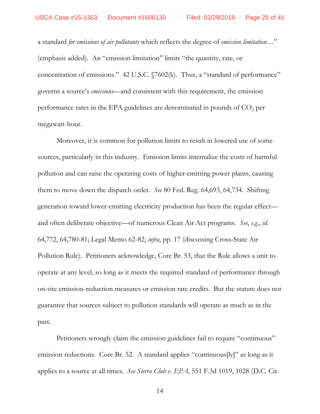a standard *for emissions of air pollutants* which reflects the degree of *emission limitation…*" (emphasis added). An "emission limitation" limits "the quantity, rate, or concentration of emissions." 42 U.S.C. §7602(k). Thus, a "standard of performance" governs a source's *emissions*—and consistent with this requirement, the emission performance rates in the EPA guidelines are denominated in pounds of  $CO<sub>2</sub>$  per megawatt-hour.

Moreover, it is common for pollution limits to result in lowered use of some sources, particularly in this industry. Emission limits internalize the costs of harmful pollution and can raise the operating costs of higher-emitting power plants, causing them to move down the dispatch order*. See* 80 Fed. Reg. 64,693, 64,734. Shifting generation toward lower-emitting electricity production has been the regular effect and often deliberate objective—of numerous Clean Air Act programs. *See*, *e.g.*, *id*. 64,772, 64,780-81; Legal Memo 62-82; *infra*, pp. 17 (discussing Cross-State Air Pollution Rule). Petitioners acknowledge, Core Br. 53, that the Rule allows a unit to operate at any level, so long as it meets the required standard of performance through on-site emission-reduction measures or emission rate credits. But the statute does not guarantee that sources subject to pollution standards will operate as much as in the past.

Petitioners wrongly claim the emission guidelines fail to require "continuous" emission reductions. Core Br. 52. A standard applies "continuous[ly]" as long as it applies to a source at all times. *See Sierra Club v. EPA*, 551 F.3d 1019, 1028 (D.C. Cir.

14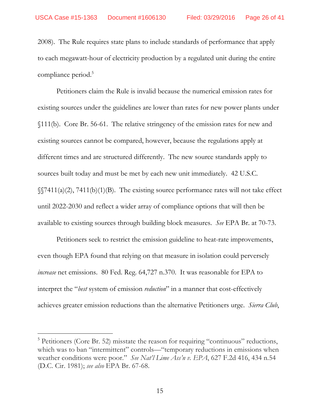2008). The Rule requires state plans to include standards of performance that apply to each megawatt-hour of electricity production by a regulated unit during the entire compliance period.<sup>5</sup>

Petitioners claim the Rule is invalid because the numerical emission rates for existing sources under the guidelines are lower than rates for new power plants under §111(b). Core Br. 56-61. The relative stringency of the emission rates for new and existing sources cannot be compared, however, because the regulations apply at different times and are structured differently. The new source standards apply to sources built today and must be met by each new unit immediately. 42 U.S.C.  $\S(7411(a)(2), 7411(b)(1)(B)$ . The existing source performance rates will not take effect until 2022-2030 and reflect a wider array of compliance options that will then be available to existing sources through building block measures. *See* EPA Br. at 70-73.

Petitioners seek to restrict the emission guideline to heat-rate improvements, even though EPA found that relying on that measure in isolation could perversely *increase* net emissions. 80 Fed. Reg. 64,727 n.370. It was reasonable for EPA to interpret the "*best* system of emission *reduction*" in a manner that cost-effectively achieves greater emission reductions than the alternative Petitioners urge. *Sierra Club*,

<sup>&</sup>lt;sup>5</sup> Petitioners (Core Br. 52) misstate the reason for requiring "continuous" reductions, which was to ban "intermittent" controls—"temporary reductions in emissions when weather conditions were poor." *See Nat'l Lime Ass'n v. EPA*, 627 F.2d 416, 434 n.54 (D.C. Cir. 1981); *see also* EPA Br. 67-68.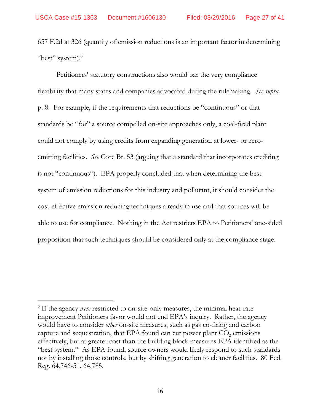657 F.2d at 326 (quantity of emission reductions is an important factor in determining "best" system). $6$ 

Petitioners' statutory constructions also would bar the very compliance flexibility that many states and companies advocated during the rulemaking. *See supra* p. 8. For example, if the requirements that reductions be "continuous" or that standards be "for" a source compelled on-site approaches only, a coal-fired plant could not comply by using credits from expanding generation at lower- or zeroemitting facilities. *See* Core Br. 53 (arguing that a standard that incorporates crediting is not "continuous"). EPA properly concluded that when determining the best system of emission reductions for this industry and pollutant, it should consider the cost-effective emission-reducing techniques already in use and that sources will be able to use for compliance. Nothing in the Act restricts EPA to Petitioners' one-sided proposition that such techniques should be considered only at the compliance stage.

<sup>&</sup>lt;sup>6</sup> If the agency *were* restricted to on-site-only measures, the minimal heat-rate improvement Petitioners favor would not end EPA's inquiry. Rather, the agency would have to consider *other* on-site measures, such as gas co-firing and carbon capture and sequestration, that EPA found can cut power plant  $CO<sub>2</sub>$  emissions effectively, but at greater cost than the building block measures EPA identified as the "best system." As EPA found, source owners would likely respond to such standards not by installing those controls, but by shifting generation to cleaner facilities. 80 Fed. Reg. 64,746-51, 64,785.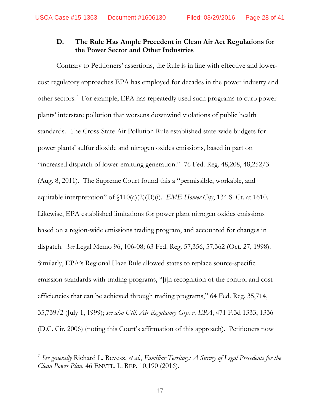### **D. The Rule Has Ample Precedent in Clean Air Act Regulations for the Power Sector and Other Industries**

Contrary to Petitioners' assertions, the Rule is in line with effective and lowercost regulatory approaches EPA has employed for decades in the power industry and other sectors.<sup>7</sup> For example, EPA has repeatedly used such programs to curb power plants' interstate pollution that worsens downwind violations of public health standards. The Cross-State Air Pollution Rule established state-wide budgets for power plants' sulfur dioxide and nitrogen oxides emissions, based in part on "increased dispatch of lower-emitting generation." 76 Fed. Reg. 48,208, 48,252/3 (Aug. 8, 2011). The Supreme Court found this a "permissible, workable, and equitable interpretation" of §110(a)(2)(D)(i). *EME Homer City*, 134 S. Ct. at 1610. Likewise, EPA established limitations for power plant nitrogen oxides emissions based on a region-wide emissions trading program, and accounted for changes in dispatch. *See* Legal Memo 96, 106-08; 63 Fed. Reg. 57,356, 57,362 (Oct. 27, 1998). Similarly, EPA's Regional Haze Rule allowed states to replace source-specific emission standards with trading programs, "[i]n recognition of the control and cost efficiencies that can be achieved through trading programs," 64 Fed. Reg. 35,714, 35,739/2 (July 1, 1999); *see also Util. Air Regulatory Grp. v. EPA*, 471 F.3d 1333, 1336 (D.C. Cir. 2006) (noting this Court's affirmation of this approach). Petitioners now

<sup>7</sup> *See generally* Richard L. Revesz, *et al.*, *Familiar Territory: A Survey of Legal Precedents for the Clean Power Plan*, 46 ENVTL. L. REP. 10,190 (2016).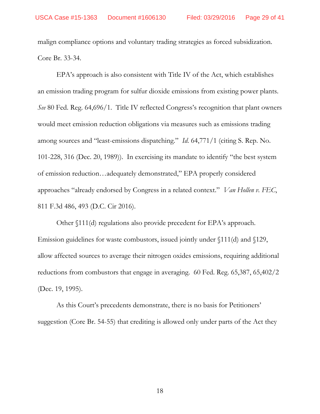malign compliance options and voluntary trading strategies as forced subsidization. Core Br. 33-34.

EPA's approach is also consistent with Title IV of the Act, which establishes an emission trading program for sulfur dioxide emissions from existing power plants. *See* 80 Fed. Reg. 64,696/1. Title IV reflected Congress's recognition that plant owners would meet emission reduction obligations via measures such as emissions trading among sources and "least-emissions dispatching." *Id*. 64,771/1 (citing S. Rep. No. 101-228, 316 (Dec. 20, 1989)). In exercising its mandate to identify "the best system of emission reduction…adequately demonstrated," EPA properly considered approaches "already endorsed by Congress in a related context." *Van Hollen v. FEC*, 811 F.3d 486, 493 (D.C. Cir 2016).

Other §111(d) regulations also provide precedent for EPA's approach. Emission guidelines for waste combustors, issued jointly under §111(d) and §129, allow affected sources to average their nitrogen oxides emissions, requiring additional reductions from combustors that engage in averaging. 60 Fed. Reg. 65,387, 65,402/2 (Dec. 19, 1995).

As this Court's precedents demonstrate, there is no basis for Petitioners' suggestion (Core Br. 54-55) that crediting is allowed only under parts of the Act they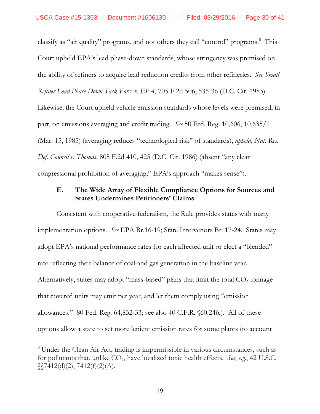classify as "air quality" programs, and not others they call "control" programs.<sup>8</sup> This Court upheld EPA's lead phase-down standards, whose stringency was premised on the ability of refiners to acquire lead reduction credits from other refineries. *See Small Refiner Lead Phase-Down Task Force v. EPA*, 705 F.2d 506, 535-36 (D.C. Cir. 1983). Likewise, the Court upheld vehicle emission standards whose levels were premised, in part, on emissions averaging and credit trading. *See* 50 Fed. Reg. 10,606, 10,635/1 (Mar. 15, 1985) (averaging reduces "technological risk" of standards), *upheld, Nat. Res. Def. Council v. Thomas*, 805 F.2d 410, 425 (D.C. Cir. 1986) (absent "any clear congressional prohibition of averaging," EPA's approach "makes sense").

### **E. The Wide Array of Flexible Compliance Options for Sources and States Undermines Petitioners' Claims**

Consistent with cooperative federalism, the Rule provides states with many implementation options. *See* EPA Br.16-19; State Intervenors Br. 17-24. States may adopt EPA's national performance rates for each affected unit or elect a "blended" rate reflecting their balance of coal and gas generation in the baseline year. Alternatively, states may adopt "mass-based" plans that limit the total  $CO<sub>2</sub>$  tonnage that covered units may emit per year, and let them comply using "emission allowances." 80 Fed. Reg. 64,832-33; see also 40 C.F.R. §60.24(c). All of these options allow a state to set more lenient emission rates for some plants (to account

-

<sup>&</sup>lt;sup>8</sup> Under the Clean Air Act, trading is impermissible in various circumstances, such as for pollutants that, unlike  $CO_2$ , have localized toxic health effects. See, e.g., 42 U.S.C.  $\S$ [7412(d)(2), 7412(f)(2)(A).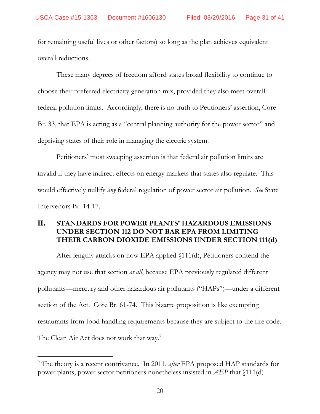for remaining useful lives or other factors) so long as the plan achieves equivalent overall reductions.

These many degrees of freedom afford states broad flexibility to continue to choose their preferred electricity generation mix, provided they also meet overall federal pollution limits. Accordingly, there is no truth to Petitioners' assertion, Core Br. 33, that EPA is acting as a "central planning authority for the power sector" and depriving states of their role in managing the electric system.

Petitioners' most sweeping assertion is that federal air pollution limits are invalid if they have indirect effects on energy markets that states also regulate. This would effectively nullify *any* federal regulation of power sector air pollution. *See* State Intervenors Br. 14-17.

## II. **STANDARDS FOR POWER PLANTS' HAZARDOUS EMISSIONS UNDER SECTION 112 DO NOT BAR EPA FROM LIMITING THEIR CARBON DIOXIDE EMISSIONS UNDER SECTION 111(d)**

After lengthy attacks on how EPA applied §111(d), Petitioners contend the agency may not use that section *at all*, because EPA previously regulated different pollutants—mercury and other hazardous air pollutants ("HAPs")—under a different section of the Act. Core Br. 61-74. This bizarre proposition is like exempting restaurants from food handling requirements because they are subject to the fire code. The Clean Air Act does not work that way.<sup>9</sup>

-

<sup>9</sup> The theory is a recent contrivance. In 2011, *after* EPA proposed HAP standards for power plants, power sector petitioners nonetheless insisted in *AEP* that §111(d)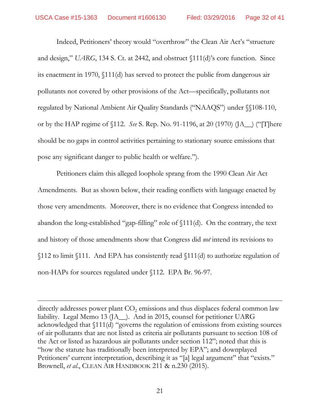Indeed, Petitioners' theory would "overthrow" the Clean Air Act's "structure and design," *UARG*, 134 S. Ct. at 2442, and obstruct §111(d)'s core function. Since its enactment in 1970, §111(d) has served to protect the public from dangerous air pollutants not covered by other provisions of the Act—specifically, pollutants not regulated by National Ambient Air Quality Standards ("NAAQS") under §§108-110, or by the HAP regime of §112. *See* S. Rep. No. 91-1196, at 20 (1970) (JA\_\_) ("[T]here should be no gaps in control activities pertaining to stationary source emissions that pose any significant danger to public health or welfare.").

Petitioners claim this alleged loophole sprang from the 1990 Clean Air Act Amendments. But as shown below, their reading conflicts with language enacted by those very amendments. Moreover, there is no evidence that Congress intended to abandon the long-established "gap-filling" role of §111(d). On the contrary, the text and history of those amendments show that Congress did *not* intend its revisions to §112 to limit §111. And EPA has consistently read §111(d) to authorize regulation of non-HAPs for sources regulated under §112. EPA Br. 96-97.

directly addresses power plant  $CO<sub>2</sub>$  emissions and thus displaces federal common law liability. Legal Memo 13 (JA\_\_). And in 2015, counsel for petitioner UARG acknowledged that §111(d) "governs the regulation of emissions from existing sources of air pollutants that are not listed as criteria air pollutants pursuant to section 108 of the Act or listed as hazardous air pollutants under section 112"; noted that this is "how the statute has traditionally been interpreted by EPA"; and downplayed Petitioners' current interpretation, describing it as "[a] legal argument" that "exists." Brownell, *et al*., CLEAN AIR HANDBOOK 211 & n.230 (2015).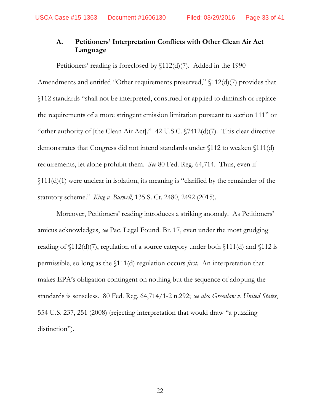## **A. Petitioners' Interpretation Conflicts with Other Clean Air Act Language**

Petitioners' reading is foreclosed by  $\[12(d)(7)$ . Added in the 1990 Amendments and entitled "Other requirements preserved," §112(d)(7) provides that §112 standards "shall not be interpreted, construed or applied to diminish or replace the requirements of a more stringent emission limitation pursuant to section 111" or "other authority of [the Clean Air Act]." 42 U.S.C. §7412(d)(7). This clear directive demonstrates that Congress did not intend standards under §112 to weaken §111(d) requirements, let alone prohibit them. *See* 80 Fed. Reg. 64,714. Thus, even if §111(d)(1) were unclear in isolation, its meaning is "clarified by the remainder of the statutory scheme." *King v. Burwell*, 135 S. Ct. 2480, 2492 (2015).

Moreover, Petitioners' reading introduces a striking anomaly. As Petitioners' amicus acknowledges, *see* Pac. Legal Found. Br. 17, even under the most grudging reading of  $\[12(d)(7),\]$  regulation of a source category under both  $\[11(d)$  and  $\[12]$  is permissible, so long as the §111(d) regulation occurs *first*. An interpretation that makes EPA's obligation contingent on nothing but the sequence of adopting the standards is senseless. 80 Fed. Reg. 64,714/1-2 n.292; *see also Greenlaw v. United States*, 554 U.S. 237, 251 (2008) (rejecting interpretation that would draw "a puzzling distinction").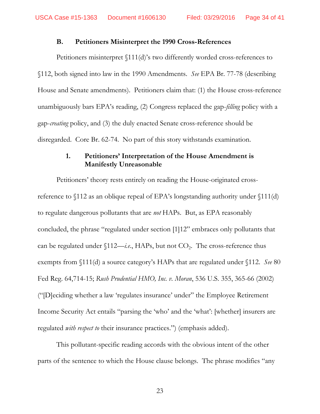#### **B. Petitioners Misinterpret the 1990 Cross-References**

Petitioners misinterpret §111(d)'s two differently worded cross-references to §112, both signed into law in the 1990 Amendments. *See* EPA Br. 77-78 (describing House and Senate amendments). Petitioners claim that: (1) the House cross-reference unambiguously bars EPA's reading, (2) Congress replaced the gap-*filling* policy with a gap-*creating* policy, and (3) the duly enacted Senate cross-reference should be disregarded. Core Br. 62-74. No part of this story withstands examination.

### **1. Petitioners' Interpretation of the House Amendment is Manifestly Unreasonable**

Petitioners' theory rests entirely on reading the House-originated crossreference to §112 as an oblique repeal of EPA's longstanding authority under §111(d) to regulate dangerous pollutants that are *not* HAPs. But, as EPA reasonably concluded, the phrase "regulated under section [1]12" embraces only pollutants that can be regulated under  $$112$ —*i.e.*, HAPs, but not  $CO<sub>2</sub>$ . The cross-reference thus exempts from §111(d) a source category's HAPs that are regulated under §112. *See* 80 Fed Reg. 64,714-15; *Rush Prudential HMO, Inc. v. Moran*, 536 U.S. 355, 365-66 (2002) ("[D]eciding whether a law 'regulates insurance' under" the Employee Retirement Income Security Act entails "parsing the 'who' and the 'what': [whether] insurers are regulated *with respect to* their insurance practices.") (emphasis added).

This pollutant-specific reading accords with the obvious intent of the other parts of the sentence to which the House clause belongs. The phrase modifies "any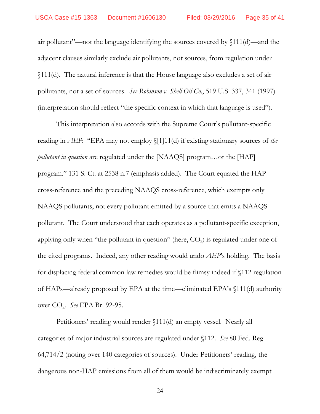air pollutant"—not the language identifying the sources covered by §111(d)—and the adjacent clauses similarly exclude air pollutants, not sources, from regulation under §111(d). The natural inference is that the House language also excludes a set of air pollutants, not a set of sources. *See Robinson v. Shell Oil Co.*, 519 U.S. 337, 341 (1997) (interpretation should reflect "the specific context in which that language is used").

This interpretation also accords with the Supreme Court's pollutant-specific reading in *AEP*: "EPA may not employ §[1]11(d) if existing stationary sources of *the pollutant in question* are regulated under the [NAAQS] program…or the [HAP] program." 131 S. Ct. at 2538 n.7 (emphasis added). The Court equated the HAP cross-reference and the preceding NAAQS cross-reference, which exempts only NAAQS pollutants, not every pollutant emitted by a source that emits a NAAQS pollutant. The Court understood that each operates as a pollutant-specific exception, applying only when "the pollutant in question" (here,  $CO<sub>2</sub>$ ) is regulated under one of the cited programs. Indeed, any other reading would undo *AEP*'s holding. The basis for displacing federal common law remedies would be flimsy indeed if §112 regulation of HAPs—already proposed by EPA at the time—eliminated EPA's §111(d) authority over CO2. *See* EPA Br. 92-95.

Petitioners' reading would render §111(d) an empty vessel. Nearly all categories of major industrial sources are regulated under §112. *See* 80 Fed. Reg. 64,714/2 (noting over 140 categories of sources). Under Petitioners' reading, the dangerous non-HAP emissions from all of them would be indiscriminately exempt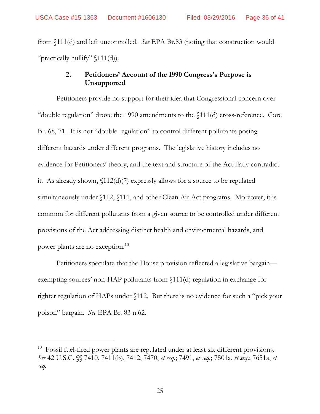from §111(d) and left uncontrolled. *See* EPA Br.83 (noting that construction would "practically nullify"  $(111(d))$ .

## **2. Petitioners' Account of the 1990 Congress's Purpose is Unsupported**

Petitioners provide no support for their idea that Congressional concern over "double regulation" drove the 1990 amendments to the §111(d) cross-reference. Core Br. 68, 71. It is not "double regulation" to control different pollutants posing different hazards under different programs. The legislative history includes no evidence for Petitioners' theory, and the text and structure of the Act flatly contradict it. As already shown, §112(d)(7) expressly allows for a source to be regulated simultaneously under §112, §111, and other Clean Air Act programs. Moreover, it is common for different pollutants from a given source to be controlled under different provisions of the Act addressing distinct health and environmental hazards, and power plants are no exception.<sup>10</sup>

Petitioners speculate that the House provision reflected a legislative bargain exempting sources' non-HAP pollutants from §111(d) regulation in exchange for tighter regulation of HAPs under §112. But there is no evidence for such a "pick your poison" bargain. *See* EPA Br. 83 n.62.

-

<sup>&</sup>lt;sup>10</sup> Fossil fuel-fired power plants are regulated under at least six different provisions. *See* 42 U.S.C. §§ 7410, 7411(b), 7412, 7470, *et seq.*; 7491, *et seq.*; 7501a, *et seq*.; 7651a, *et seq.*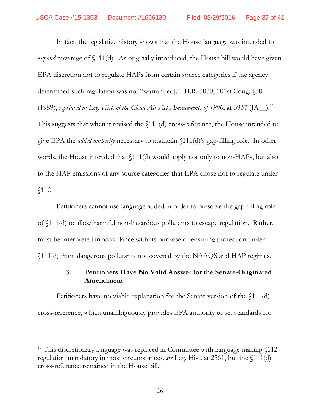In fact, the legislative history shows that the House language was intended to *expand* coverage of §111(d). As originally introduced, the House bill would have given EPA discretion not to regulate HAPs from certain source categories if the agency determined such regulation was not "warrant[ed]." H.R. 3030, 101st Cong. §301 (1989), *reprinted in Leg. Hist. of the Clean Air Act Amendments of 1990*, at 3937 ( $[A_+]$ .<sup>11</sup> This suggests that when it revised the §111(d) cross-reference, the House intended to give EPA the *added authority* necessary to maintain §111(d)'s gap-filling role. In other words, the House intended that §111(d) would apply not only to non-HAPs, but also to the HAP emissions of any source categories that EPA chose not to regulate under §112.

Petitioners cannot use language added in order to preserve the gap-filling role of §111(d) to allow harmful non-hazardous pollutants to escape regulation. Rather, it must be interpreted in accordance with its purpose of ensuring protection under §111(d) from dangerous pollutants not covered by the NAAQS and HAP regimes.

## **3. Petitioners Have No Valid Answer for the Senate-Originated Amendment**

Petitioners have no viable explanation for the Senate version of the §111(d) cross-reference, which unambiguously provides EPA authority to set standards for

<sup>&</sup>lt;sup>11</sup> This discretionary language was replaced in Committee with language making  $$112$ regulation mandatory in most circumstances, *see* Leg. Hist. at 2561, but the §111(d) cross-reference remained in the House bill.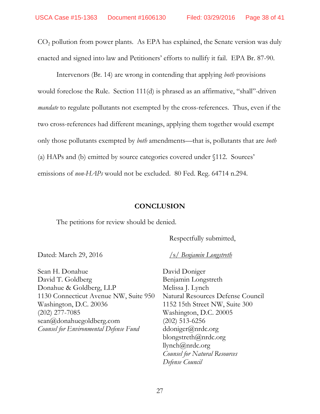$CO<sub>2</sub>$  pollution from power plants. As EPA has explained, the Senate version was duly enacted and signed into law and Petitioners' efforts to nullify it fail. EPA Br. 87-90.

Intervenors (Br. 14) are wrong in contending that applying *both* provisions would foreclose the Rule. Section 111(d) is phrased as an affirmative, "shall"-driven *mandate* to regulate pollutants not exempted by the cross-references. Thus, even if the two cross-references had different meanings, applying them together would exempt only those pollutants exempted by *both* amendments—that is, pollutants that are *both* (a) HAPs and (b) emitted by source categories covered under §112. Sources' emissions of *non-HAPs* would not be excluded. 80 Fed. Reg. 64714 n.294.

#### **CONCLUSION**

The petitions for review should be denied.

Respectfully submitted,

Dated: March 29, 2016 */s/ Benjamin Longstreth* 

Sean H. Donahue David T. Goldberg Donahue & Goldberg, LLP 1130 Connecticut Avenue NW, Suite 950 Washington, D.C. 20036 (202) 277-7085 sean@donahuegoldberg.com *Counsel for Environmental Defense Fund* 

David Doniger Benjamin Longstreth Melissa J. Lynch Natural Resources Defense Council 1152 15th Street NW, Suite 300 Washington, D.C. 20005 (202) 513-6256 ddoniger@nrdc.org blongstreth@nrdc.org llynch@nrdc.org *Counsel for Natural Resources Defense Council*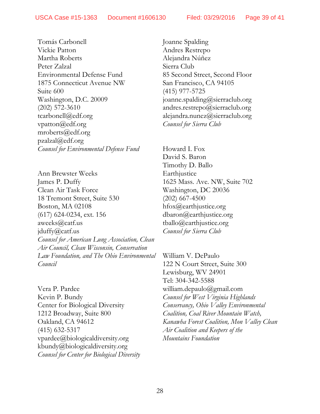Tomás Carbonell Vickie Patton Martha Roberts Peter Zalzal Environmental Defense Fund 1875 Connecticut Avenue NW Suite 600 Washington, D.C. 20009 (202) 572-3610 tcarbonell@edf.org vpatton@edf.org mroberts@edf.org  $pzalzal@edf.org$ *Counsel for Environmental Defense Fund* 

Ann Brewster Weeks James P. Duffy Clean Air Task Force 18 Tremont Street, Suite 530 Boston, MA 02108 (617) 624-0234, ext. 156 aweeks@catf.us jduffy@catf.us *Counsel for American Lung Association, Clean Air Council, Clean Wisconsin, Conservation Law Foundation, and The Ohio Environmental Council*

Vera P. Pardee Kevin P. Bundy Center for Biological Diversity 1212 Broadway, Suite 800 Oakland, CA 94612 (415) 632-5317 vpardee@biologicaldiversity.org kbundy@biologicaldiversity.org *Counsel for Center for Biological Diversity* Joanne Spalding Andres Restrepo Alejandra Núñez Sierra Club 85 Second Street, Second Floor San Francisco, CA 94105 (415) 977-5725 joanne.spalding@sierraclub.org andres.restrepo@sierraclub.org alejandra.nunez@sierraclub.org *Counsel for Sierra Club* 

Howard I. Fox David S. Baron Timothy D. Ballo **Earthjustice** 1625 Mass. Ave. NW, Suite 702 Washington, DC 20036 (202) 667-4500 hfox@earthjustice.org dbaron@earthjustice.org tballo@earthjustice.org *Counsel for Sierra Club* 

William V. DePaulo 122 N Court Street, Suite 300 Lewisburg, WV 24901 Tel: 304-342-5588 william.depaulo@gmail.com *Counsel for West Virginia Highlands Conservancy, Ohio Valley Environmental Coalition, Coal River Mountain Watch, Kanawha Forest Coalition, Mon Valley Clean Air Coalition and Keepers of the Mountains Foundation*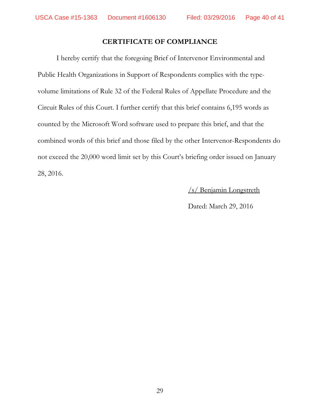### **CERTIFICATE OF COMPLIANCE**

 I hereby certify that the foregoing Brief of Intervenor Environmental and Public Health Organizations in Support of Respondents complies with the typevolume limitations of Rule 32 of the Federal Rules of Appellate Procedure and the Circuit Rules of this Court. I further certify that this brief contains 6,195 words as counted by the Microsoft Word software used to prepare this brief, and that the combined words of this brief and those filed by the other Intervenor-Respondents do not exceed the 20,000 word limit set by this Court's briefing order issued on January 28, 2016.

/s/ Benjamin Longstreth

Dated: March 29, 2016